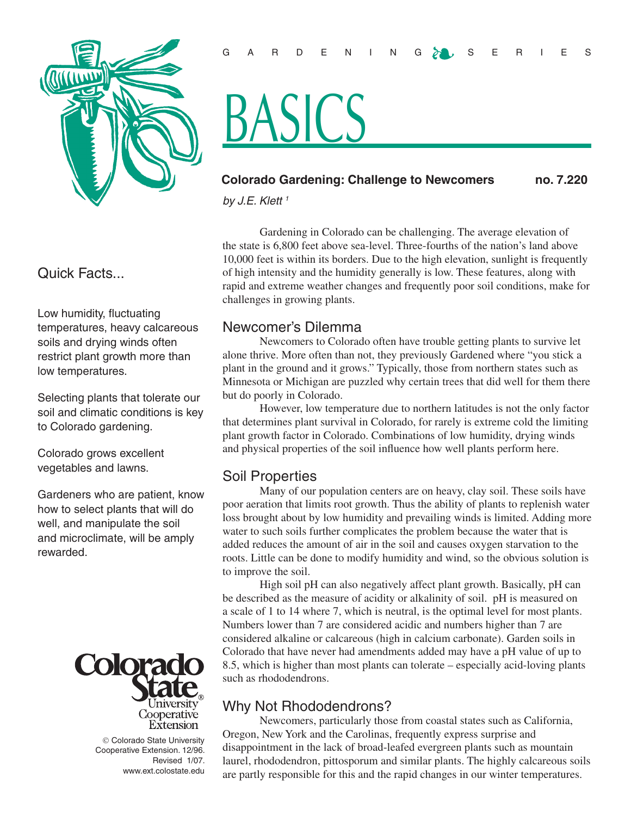

Quick Facts...

Low humidity, fluctuating temperatures, heavy calcareous soils and drying winds often restrict plant growth more than low temperatures.

Selecting plants that tolerate our soil and climatic conditions is key to Colorado gardening.

Colorado grows excellent vegetables and lawns.

Gardeners who are patient, know how to select plants that will do well, and manipulate the soil and microclimate, will be amply rewarded.



 Colorado State University Cooperative Extension. 12/96. Revised 1/07. www.ext.colostate.edu

# ASIC'S

### **Colorado Gardening: Challenge to Newcomers no. 7.220**

*by J.E. Klett 1*

Gardening in Colorado can be challenging. The average elevation of the state is 6,800 feet above sea-level. Three-fourths of the nation's land above 10,000 feet is within its borders. Due to the high elevation, sunlight is frequently of high intensity and the humidity generally is low. These features, along with rapid and extreme weather changes and frequently poor soil conditions, make for challenges in growing plants.

# Newcomer's Dilemma

Newcomers to Colorado often have trouble getting plants to survive let alone thrive. More often than not, they previously Gardened where "you stick a plant in the ground and it grows." Typically, those from northern states such as Minnesota or Michigan are puzzled why certain trees that did well for them there but do poorly in Colorado.

However, low temperature due to northern latitudes is not the only factor that determines plant survival in Colorado, for rarely is extreme cold the limiting plant growth factor in Colorado. Combinations of low humidity, drying winds and physical properties of the soil influence how well plants perform here.

## Soil Properties

Many of our population centers are on heavy, clay soil. These soils have poor aeration that limits root growth. Thus the ability of plants to replenish water loss brought about by low humidity and prevailing winds is limited. Adding more water to such soils further complicates the problem because the water that is added reduces the amount of air in the soil and causes oxygen starvation to the roots. Little can be done to modify humidity and wind, so the obvious solution is to improve the soil.

High soil pH can also negatively affect plant growth. Basically, pH can be described as the measure of acidity or alkalinity of soil. pH is measured on a scale of 1 to 14 where 7, which is neutral, is the optimal level for most plants. Numbers lower than 7 are considered acidic and numbers higher than 7 are considered alkaline or calcareous (high in calcium carbonate). Garden soils in Colorado that have never had amendments added may have a pH value of up to 8.5, which is higher than most plants can tolerate – especially acid-loving plants such as rhododendrons.

# Why Not Rhododendrons?

Newcomers, particularly those from coastal states such as California, Oregon, New York and the Carolinas, frequently express surprise and disappointment in the lack of broad-leafed evergreen plants such as mountain laurel, rhododendron, pittosporum and similar plants. The highly calcareous soils are partly responsible for this and the rapid changes in our winter temperatures.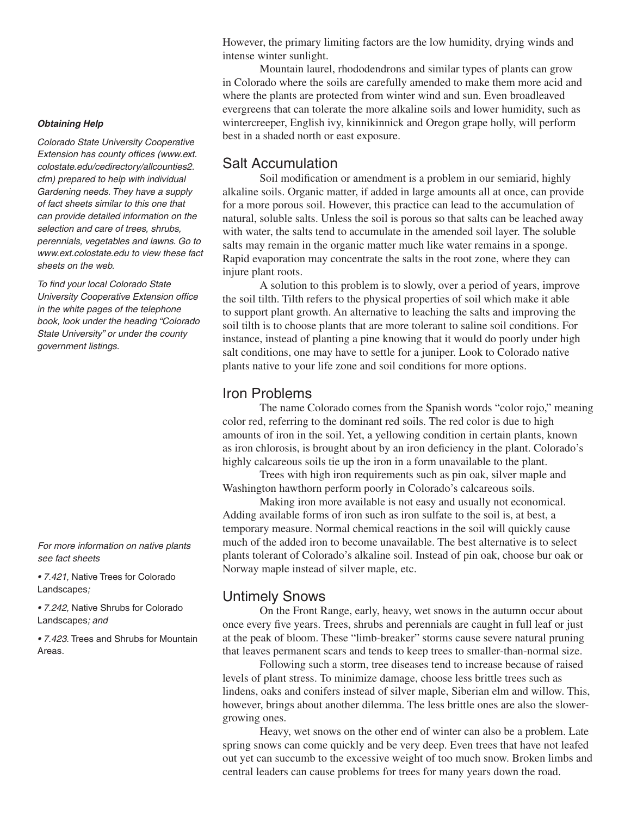*Obtaining Help* 

*Colorado State University Cooperative Extension has county offices (www.ext. colostate.edu/cedirectory/allcounties2. cfm) prepared to help with individual Gardening needs. They have a supply of fact sheets similar to this one that can provide detailed information on the selection and care of trees, shrubs, perennials, vegetables and lawns. Go to www.ext.colostate.edu to view these fact sheets on the web.* 

*To find your local Colorado State University Cooperative Extension office in the white pages of the telephone book, look under the heading "Colorado State University" or under the county government listings.*

*For more information on native plants see fact sheets* 

*• 7.421,* Native Trees for Colorado Landscapes*;*

*• 7.242,* Native Shrubs for Colorado Landscapes*; and*

*• 7.423.* Trees and Shrubs for Mountain Areas*.*

However, the primary limiting factors are the low humidity, drying winds and intense winter sunlight.

Mountain laurel, rhododendrons and similar types of plants can grow in Colorado where the soils are carefully amended to make them more acid and where the plants are protected from winter wind and sun. Even broadleaved evergreens that can tolerate the more alkaline soils and lower humidity, such as wintercreeper, English ivy, kinnikinnick and Oregon grape holly, will perform best in a shaded north or east exposure.

#### Salt Accumulation

Soil modification or amendment is a problem in our semiarid, highly alkaline soils. Organic matter, if added in large amounts all at once, can provide for a more porous soil. However, this practice can lead to the accumulation of natural, soluble salts. Unless the soil is porous so that salts can be leached away with water, the salts tend to accumulate in the amended soil layer. The soluble salts may remain in the organic matter much like water remains in a sponge. Rapid evaporation may concentrate the salts in the root zone, where they can injure plant roots.

A solution to this problem is to slowly, over a period of years, improve the soil tilth. Tilth refers to the physical properties of soil which make it able to support plant growth. An alternative to leaching the salts and improving the soil tilth is to choose plants that are more tolerant to saline soil conditions. For instance, instead of planting a pine knowing that it would do poorly under high salt conditions, one may have to settle for a juniper. Look to Colorado native plants native to your life zone and soil conditions for more options.

#### Iron Problems

The name Colorado comes from the Spanish words "color rojo," meaning color red, referring to the dominant red soils. The red color is due to high amounts of iron in the soil. Yet, a yellowing condition in certain plants, known as iron chlorosis, is brought about by an iron deficiency in the plant. Colorado's highly calcareous soils tie up the iron in a form unavailable to the plant.

Trees with high iron requirements such as pin oak, silver maple and Washington hawthorn perform poorly in Colorado's calcareous soils.

Making iron more available is not easy and usually not economical. Adding available forms of iron such as iron sulfate to the soil is, at best, a temporary measure. Normal chemical reactions in the soil will quickly cause much of the added iron to become unavailable. The best alternative is to select plants tolerant of Colorado's alkaline soil. Instead of pin oak, choose bur oak or Norway maple instead of silver maple, etc.

#### Untimely Snows

On the Front Range, early, heavy, wet snows in the autumn occur about once every five years. Trees, shrubs and perennials are caught in full leaf or just at the peak of bloom. These "limb-breaker" storms cause severe natural pruning that leaves permanent scars and tends to keep trees to smaller-than-normal size.

Following such a storm, tree diseases tend to increase because of raised levels of plant stress. To minimize damage, choose less brittle trees such as lindens, oaks and conifers instead of silver maple, Siberian elm and willow. This, however, brings about another dilemma. The less brittle ones are also the slowergrowing ones.

Heavy, wet snows on the other end of winter can also be a problem. Late spring snows can come quickly and be very deep. Even trees that have not leafed out yet can succumb to the excessive weight of too much snow. Broken limbs and central leaders can cause problems for trees for many years down the road.